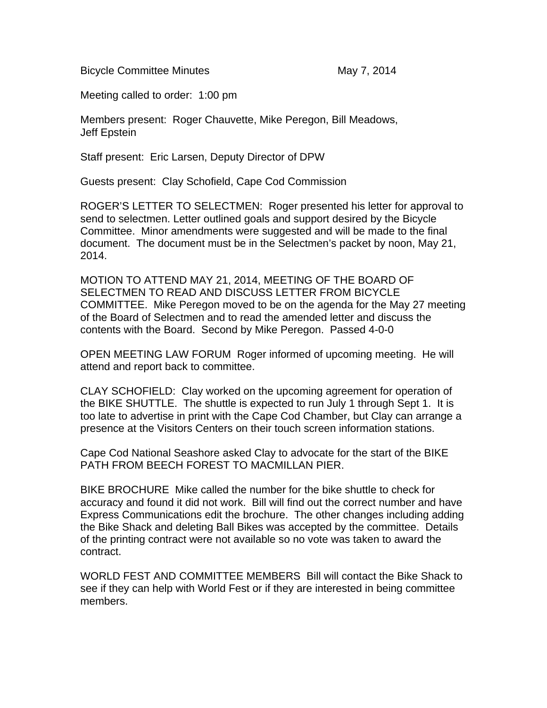Bicycle Committee Minutes May 7, 2014

Meeting called to order: 1:00 pm

Members present: Roger Chauvette, Mike Peregon, Bill Meadows, Jeff Epstein

Staff present: Eric Larsen, Deputy Director of DPW

Guests present: Clay Schofield, Cape Cod Commission

ROGER'S LETTER TO SELECTMEN: Roger presented his letter for approval to send to selectmen. Letter outlined goals and support desired by the Bicycle Committee. Minor amendments were suggested and will be made to the final document. The document must be in the Selectmen's packet by noon, May 21, 2014.

MOTION TO ATTEND MAY 21, 2014, MEETING OF THE BOARD OF SELECTMEN TO READ AND DISCUSS LETTER FROM BICYCLE COMMITTEE. Mike Peregon moved to be on the agenda for the May 27 meeting of the Board of Selectmen and to read the amended letter and discuss the contents with the Board. Second by Mike Peregon. Passed 4-0-0

OPEN MEETING LAW FORUM Roger informed of upcoming meeting. He will attend and report back to committee.

CLAY SCHOFIELD: Clay worked on the upcoming agreement for operation of the BIKE SHUTTLE. The shuttle is expected to run July 1 through Sept 1. It is too late to advertise in print with the Cape Cod Chamber, but Clay can arrange a presence at the Visitors Centers on their touch screen information stations.

Cape Cod National Seashore asked Clay to advocate for the start of the BIKE PATH FROM BEECH FOREST TO MACMILLAN PIER.

BIKE BROCHURE Mike called the number for the bike shuttle to check for accuracy and found it did not work. Bill will find out the correct number and have Express Communications edit the brochure. The other changes including adding the Bike Shack and deleting Ball Bikes was accepted by the committee. Details of the printing contract were not available so no vote was taken to award the contract.

WORLD FEST AND COMMITTEE MEMBERS Bill will contact the Bike Shack to see if they can help with World Fest or if they are interested in being committee members.